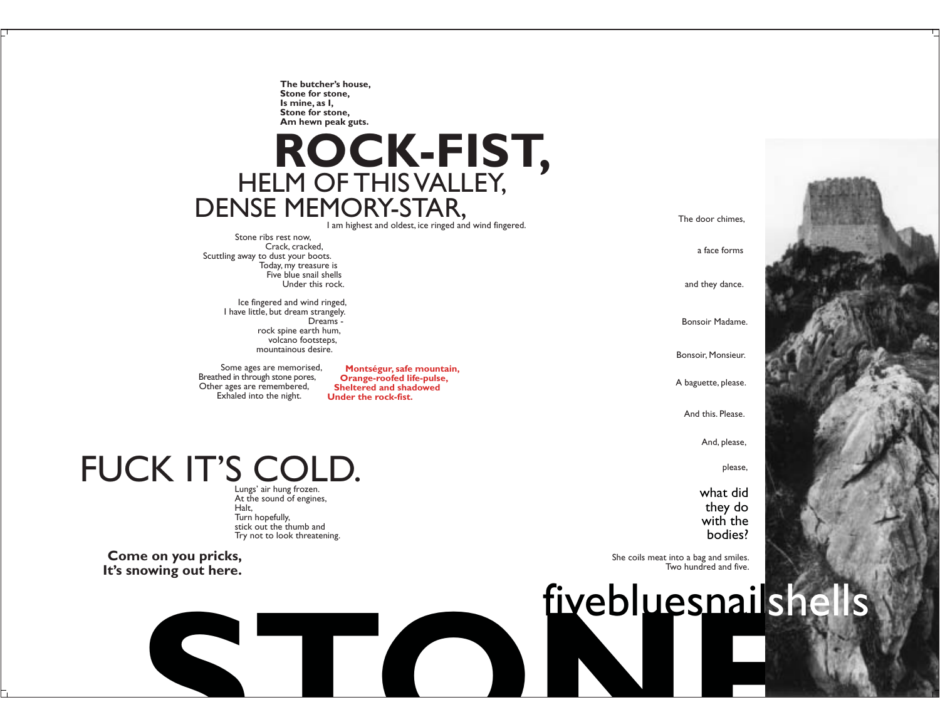The butcher's house, Stone for stone, Is mine, as I, Stone for stone, Am hewn peak guts.

## ROCK-FIST, DENSE MEMORY-STAR,

I am highest and oldest, ice ringed and wind fingered.

Stone ribs rest now. Crack, cracked, Scuttling away to dust your boots. Today, my treasure is Five blue snail shells Under this rock.

> Ice fingered and wind ringed, I have little, but dream strangely. Dreams rock spine earth hum, volcano footsteps, mountainous desire.

Some ages are memorised, Breathed in through stone pores, Other ages are remembered, Exhaled into the night.

Montségur, safe mountain, Orange-roofed life-pulse, **Sheltered and shadowed** Under the rock-fist.

### FUCK IT'S COLD. Lungs' air hung frozen.

At the sound of engines, Halt. Turn hopefully, stick out the thumb and Try not to look threatening.

Come on you pricks, It's snowing out here.

 $\blacktriangle$ 

The door chimes,

a face forms

and they dance.

Bonsoir Madame.

Bonsoir, Monsieur.

A baguette, please.

And this, Please.

And, please,

please,

what did they do with the bodies?

She coils meat into a bag and smiles. Two hundred and five.

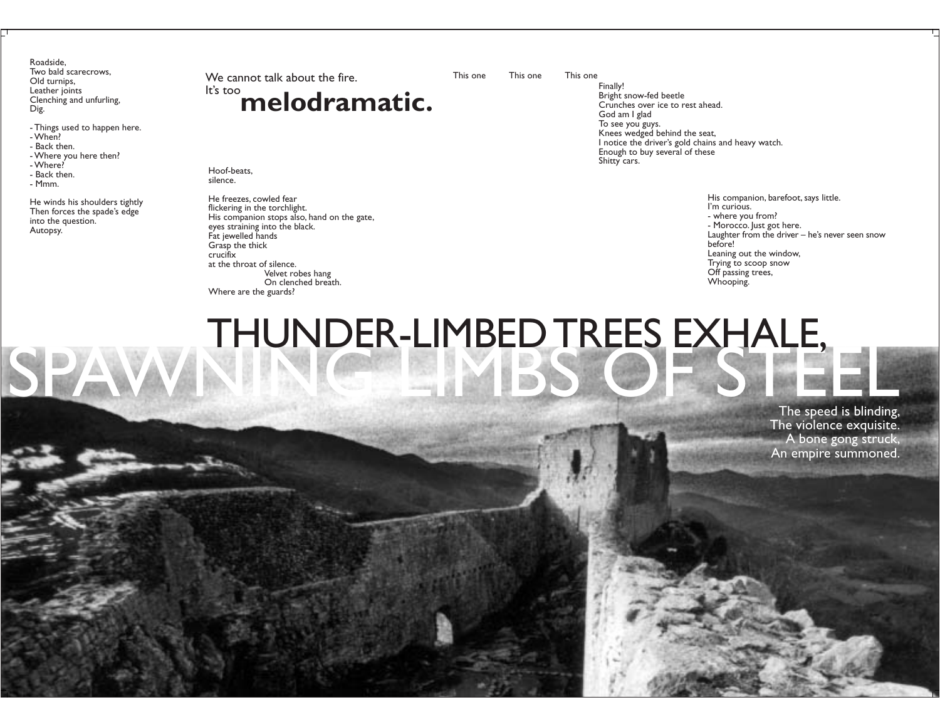Roadside, Two bald scarecrows, Old turnips, Leather joints Clenching and unfurling, Dig.

- Things used to happen here.
- $-When?$
- Back then.
- Where you here then?
- Where?

SPA

- Back then.
- Mmm.

He winds his shoulders tightly Then forces the spade's edge into the question. Autopsy.

### We cannot talk about the fire. It's too melodramatic.

Hoof-beats. silence.

He freezes, cowled fear flickering in the torchlight. His companion stops also, hand on the gate, eyes straining into the black. Fat jewelled hands Grasp the thick crucifix at the throat of silence. Velvet robes hang On clenched breath. Where are the guards?

This one

This one This one

Finally! Bright snow-fed beetle Crunches over ice to rest ahead. God am I glad To see you guys. Knees wedged behind the seat, I notice the driver's gold chains and heavy watch. Enough to buy several of these Shitty cars.

> His companion, barefoot, says little. I'm curious. - where you from? - Morocco. Just got here. Laughter from the driver - he's never seen snow before! Leaning out the window, Trying to scoop snow Off passing trees, Whooping.

# THUNDER-LIMBED TREES EXHALE,

The speed is blinding, The violence exquisite. A bone gong struck, An empire summoned.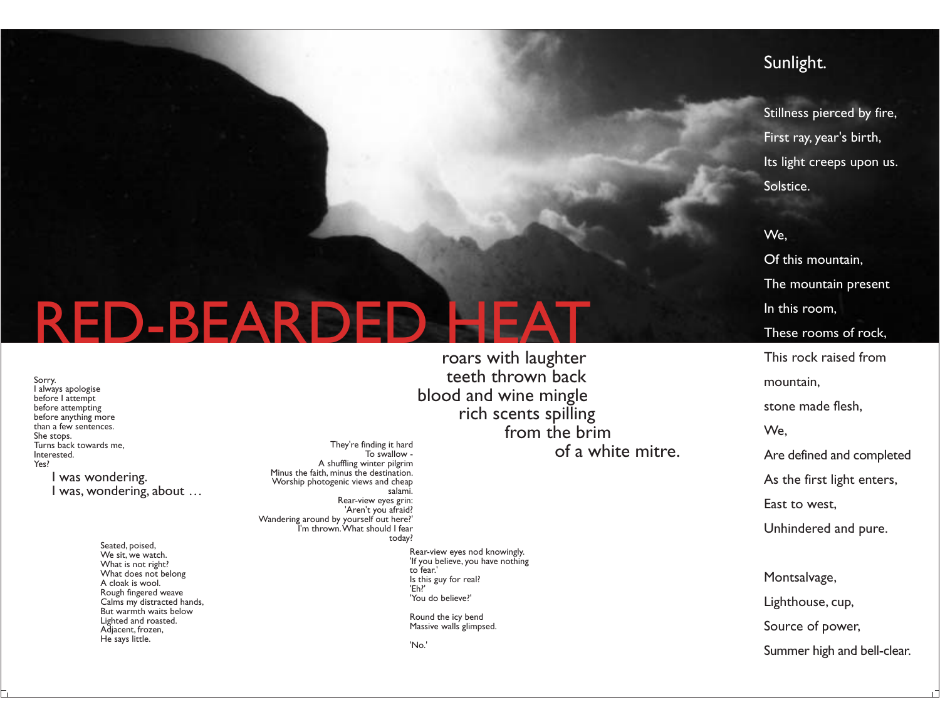### Sunlight.

Stillness pierced by fire, First ray, year's birth, Its light creeps upon us. Solstice.

### We. Of this mountain, The mountain present In this room, These rooms of rock. This rock raised from mountain. stone made flesh. We. Are defined and completed

As the first light enters,

East to west.

Unhindered and pure.

Montsalvage, Lighthouse, cup, Source of power,

# **RED-BEARDED**

Sorry. I always apologise before I attempt before attempting before anything more than a few sentences. She stops. Turns back towards me, Interested. Yes?

> I was wondering. I was, wondering, about ...

> > Seated, poised, We sit, we watch. What is not right? What does not belong A cloak is wool. Rough fingered weave Calms my distracted hands, But warmth waits below Lighted and roasted. Adiacent, frozen, He says little.

roars with laughter teeth thrown back blood and wine mingle rich scents spilling from the brim of a white mitre.

They're finding it hard To swallow -A shuffling winter pilgrim Minus the faith, minus the destination. Worship photogenic views and cheap salami. Rear-view eyes grin: 'Aren't you afraid? Wandering around by yourself out here?' I'm thrown. What should I fear today?

> Rear-view eyes nod knowingly. 'If you believe, you have nothing to fear.' Is this guy for real? 'Eh?' 'You do believe?'

Round the icy bend Massive walls glimpsed.

'No.'

Summer high and bell-clear.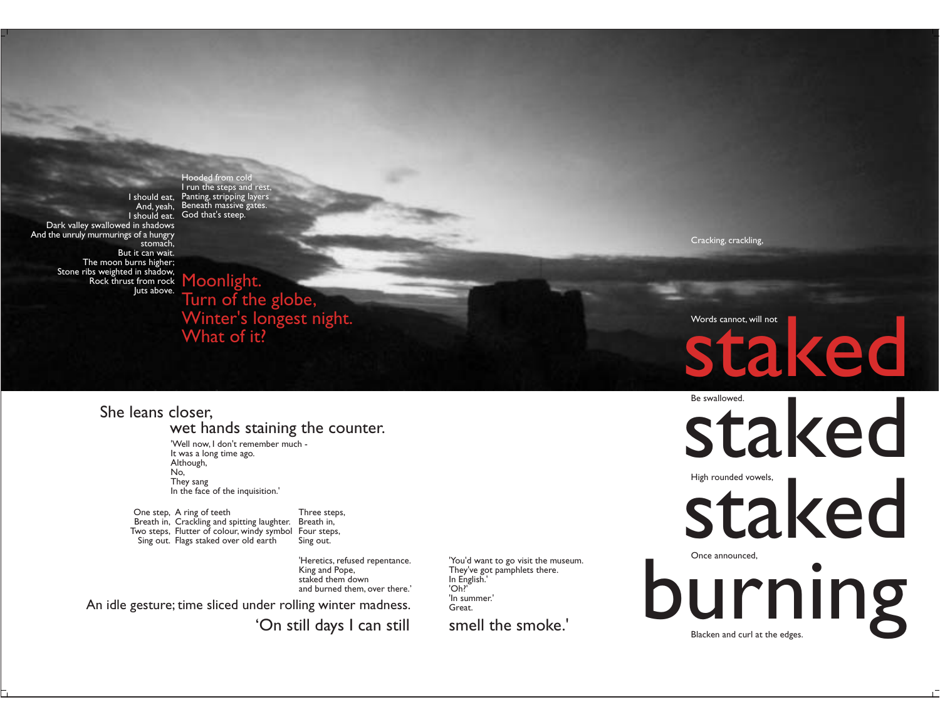And. yeah. Dark valley swallowed in shadows And the unruly murmurings of a hungry stomach, But it can wait. The moon burns higher; Stone ribs weighted in shadow, Rock thrust from rock Moonlight. Juts above.

I run the steps and rest, I should eat, Panting, stripping layers Beneath massive gates. I should eat. God that's steep.

Hooded from cold

Cracking, crackling,

Turn of the globe, Winter's longest night. What of it?

She leans closer. wet hands staining the counter.

> 'Well now. I don't remember much -It was a long time ago. Although, No. They sang In the face of the inquisition.'

One step, A ring of teeth Three steps, Breath in, Crackling and spitting laughter. Breath in, Two steps, Flutter of colour, windy symbol Four steps, Sing out. Flags staked over old earth Sing out.

> 'Heretics, refused repentance. King and Pope, staked them down and burned them, over there.'

An idle gesture; time sliced under rolling winter madness.

'On still days I can still

'You'd want to go visit the museum. They've got pamphlets there. In English.'  $'Oh?'$ 'In summer.' Great.

smell the smoke.'

## Words cannot, will not staked

Be swallowed. staked High rounded vowels.

staked

Once announced, burning Blacken and curl at the edges.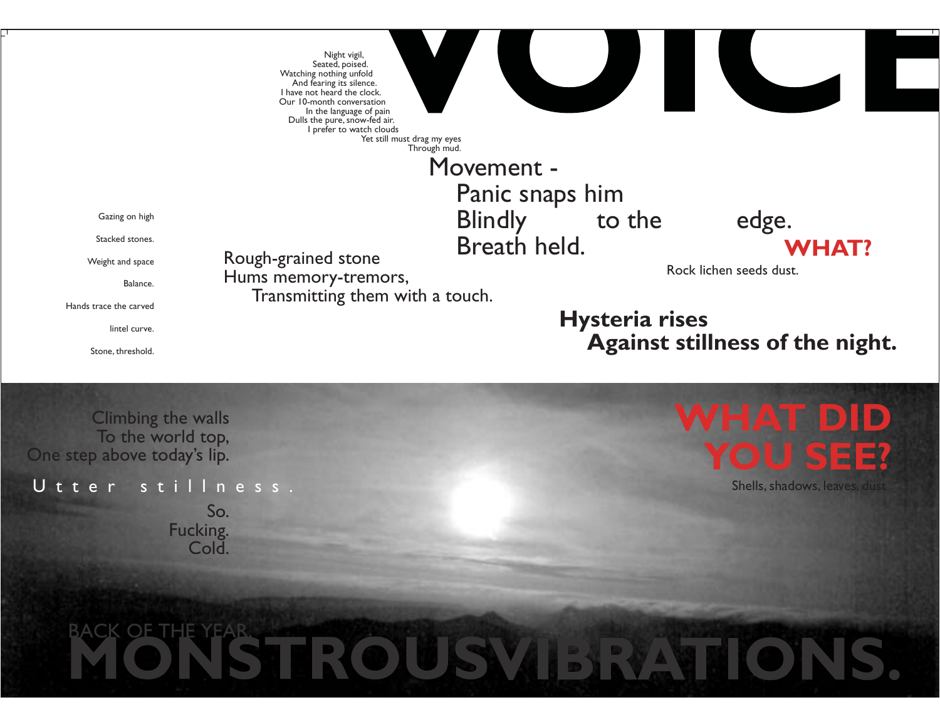

Stone, threshold.

**Climbing the walls** To the world top, One step above today's lip.

Utter stillness

So. Fucking. Cold.

### WHAT DID Ξ

Shells, shadows, leaves, dust

# **TROUS**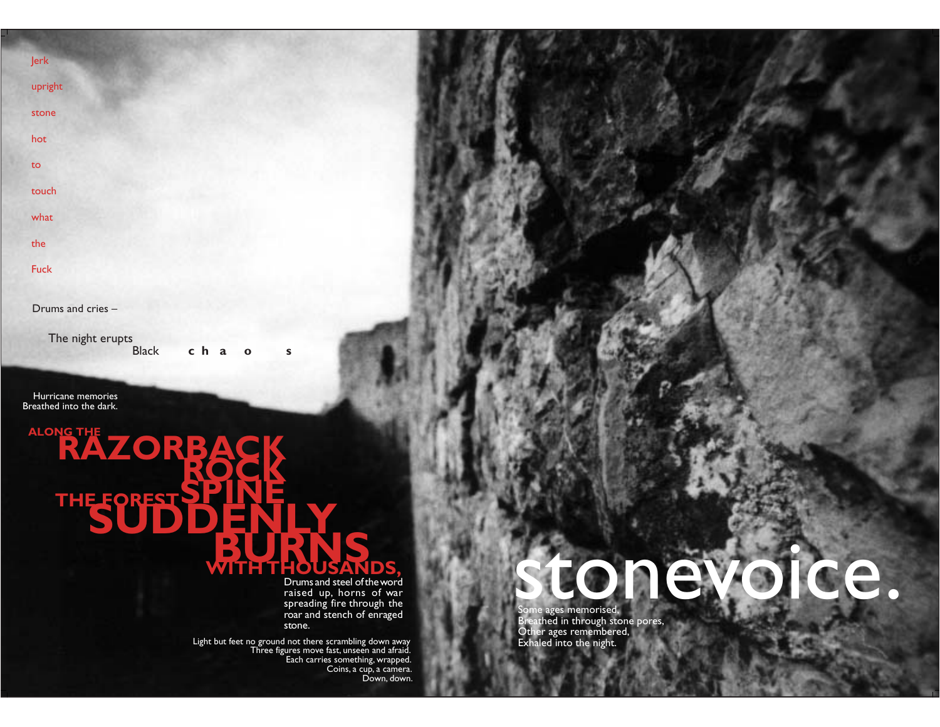Jerk upright

stone

hot

to

touch

what

the

Fuck

Drums and cries -

The night erupts

cha o **Black** 

Hurricane memories Breathed into the dark.

ALONG THE ZORBA Ë  $\blacksquare$ Er

Drums and steel of the word raised up, horns of war spreading fire through the<br>roar and stench of enraged stone.

Light but feet no ground not there scrambling down away<br>Three figures move fast, unseen and afraid. Each carries something, wrapped.<br>Coins, a cup, a camera. Down, down.

 $\mathbf{s}$ 

### tone ce.

Some ages memorised,<br>Breathed in through stone pores,<br>Other ages remembered,<br>Exhaled into the night.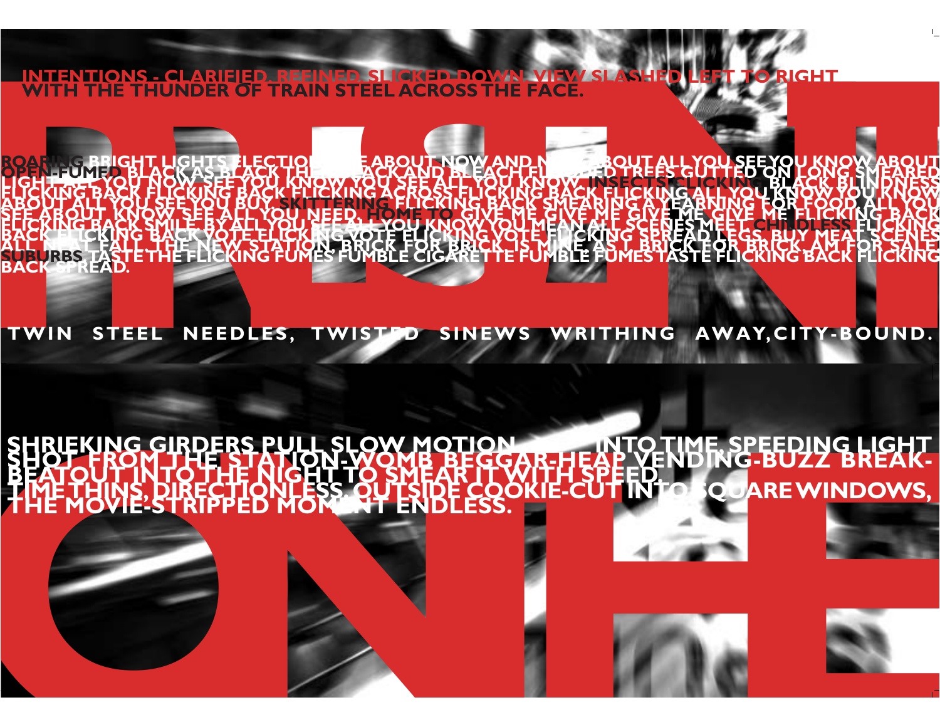<u> INTENTIONS - CLARIFIED. REEINED. SL</u> **ITIONS - CLARIFIED, REEINED, SLICKED, DOWN, VIEW**<br>THE THUNDER OF TRAIN STEEL ACROSS THE FACE. **IGHT** 

**OW AND EBBO S** T.<br>N **EXIGYOTE HUYEKIN**<br>AL BRICK FOR BR **AS** VRBS TAS tee)<br>Het **VBLE FOMES** BAC

TWIN STEEL NEEDLES, TWISTED SINEWS WRITHING AWAY, CITY-BOUND.

#### **ELIGHT**<br>BREAK-PEEDING **NG-BU** EĒ **QUARE WINDOWS,** Е LESS